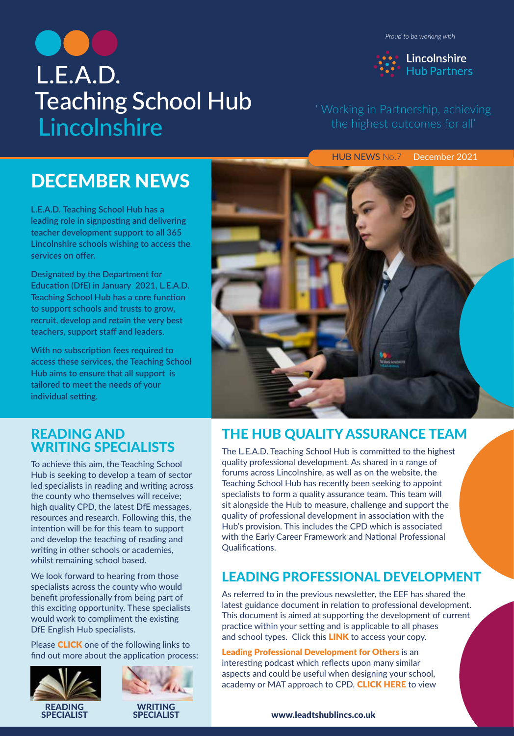*Proud to be working with*

Lincolnshire

**Hub Partners** 



' Working in Partnership, achieving

HUB NEWS No.7 December 2021

# DECEMBER NEWS

**L.E.A.D. Teaching School Hub has a leading role in signposting and delivering teacher development support to all 365 Lincolnshire schools wishing to access the services on offer.** 

**Designated by the Department for Education (DfE) in January 2021, L.E.A.D. Teaching School Hub has a core function to support schools and trusts to grow, recruit, develop and retain the very best teachers, support staff and leaders.** 

**With no subscription fees required to access these services, the Teaching School Hub aims to ensure that all support is tailored to meet the needs of your individual setting.**

# READING AND WRITING SPECIALISTS

To achieve this aim, the Teaching School Hub is seeking to develop a team of sector led specialists in reading and writing across the county who themselves will receive; high quality CPD, the latest DfE messages, resources and research. Following this, the intention will be for this team to support and develop the teaching of reading and writing in other schools or academies, whilst remaining school based.

We look forward to hearing from those specialists across the county who would benefit professionally from being part of this exciting opportunity. These specialists would work to compliment the existing DfE English Hub specialists.

Please **CLICK** one of the following links to [find out more abo](https://drive.google.com/file/d/12ixe-canx3rl5haDi-vzN7fJ7twtSjC4/view)ut the [application process:](https://drive.google.com/file/d/1hN8BanbIXYM3kWx5bzqIf6vTPxyJPdgT/view)





# THE HUB QUALITY ASSURANCE TEAM

The L.E.A.D. Teaching School Hub is committed to the highest quality professional development. As shared in a range of forums across Lincolnshire, as well as on the website, the Teaching School Hub has recently been seeking to appoint specialists to form a quality assurance team. This team will sit alongside the Hub to measure, challenge and support the quality of professional development in association with the Hub's provision. This includes the CPD which is associated with the Early Career Framework and National Professional Qualifications.

# LEADING PROFESSIONAL DEVELOPMENT

As referred to in the previous newsletter, the EEF has shared the latest guidance document in relation to professional development. This document is aimed at supporting the development of current practice within your s[etting and is applicable t](https://educationendowmentfoundation.org.uk/education-evidence/guidance-reports/effective-professional-development)o all phases and school types. Click this **LINK** to access your copy.

Leading Professional Development for Others is an interesting podcast which reflects upon many similar a[spects and could be useful when designing y](https://www.teachertoolkit.co.uk/2021/11/28/podcast-124/)our school, academy or MAT approach to CPD. CLICK HERE to view

#### [www.leadtshublincs.co.uk](https://www.leadtshublincs.co.uk/)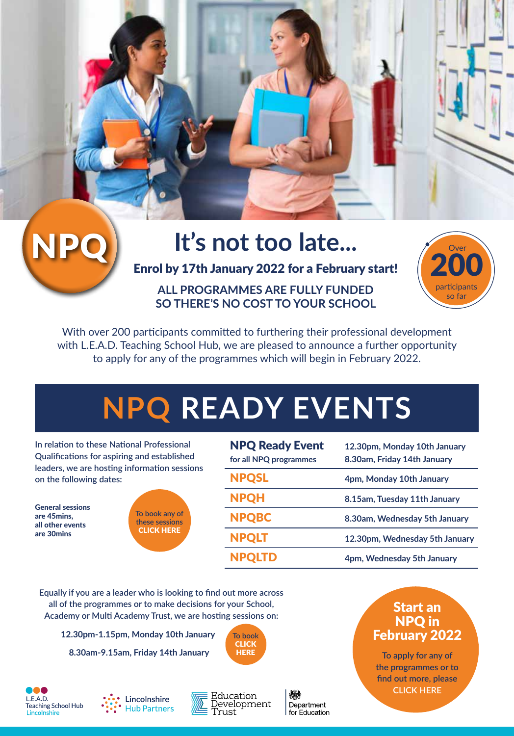# It's not too late...

Enrol by 17th January 2022 for a February start!

**ALL PROGRAMMES ARE FULLY FUNDED SO THERE'S NO COST TO YOUR SCHOOL**



With over 200 participants committed to furthering their professional development with L.E.A.D. Teaching School Hub, we are pleased to announce a further opportunity to apply for any of the programmes which will begin in February 2022.

# **NPQ READY EVENTS**

**In relation to these National Professional Qualifications for aspiring and established leaders, we are hosting information sessions on the following dates:**

General sessions are 45mins, all other events are 30mins



| <b>NPQ Ready Event</b><br>for all NPQ programmes | 12.30pm, Monday 10th January<br>8.30am, Friday 14th January |
|--------------------------------------------------|-------------------------------------------------------------|
| <b>NPQSL</b>                                     | 4pm, Monday 10th January                                    |
| <b>NPQH</b>                                      | 8.15am, Tuesday 11th January                                |
| <b>NPQBC</b>                                     | 8.30am, Wednesday 5th January                               |
| <b>NPQLT</b>                                     | 12.30pm, Wednesday 5th January                              |
| <b>NPQLTD</b>                                    | 4pm, Wednesday 5th January                                  |

**Equally if you are a leader who is looking to find out more across all of the programmes or to make decisions for your School, Academy or Multi Academy Trust, we are ho[sting sessions on:](https://www.leadtshublincs.co.uk/page/?title=NPQ+Programmes&pid=23)**

**12.30pm-1.15pm, Monday 10th January**

 **8.30am-9.15am, Friday 14th January**









小説 Department for Education

# Start an NPQ in [February 2022](https://www.leadtshublincs.co.uk/page/?title=NPQ+Programmes&pid=23)

**To apply for any of the programmes or to find out more, please CLICK HERE**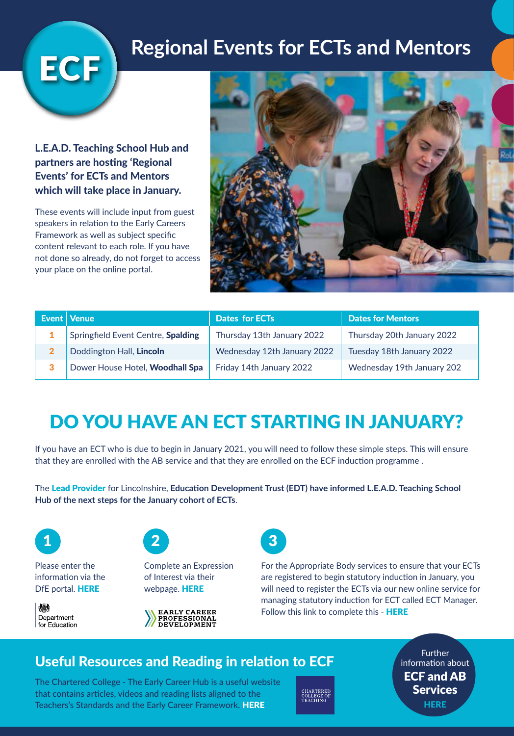# **Regional Events for ECTs and Mentors**

L.E.A.D. Teaching School Hub and partners are hosting 'Regional Events' for ECTs and Mentors which will take place in January.

ECF

These events will include input from guest speakers in relation to the Early Careers Framework as well as subject specific content relevant to each role. If you have not done so already, do not forget to access your place on the online portal.



| Event   Venue                      | <b>Dates for ECTs</b>       | <b>Dates for Mentors</b>   |
|------------------------------------|-----------------------------|----------------------------|
| Springfield Event Centre, Spalding | Thursday 13th January 2022  | Thursday 20th January 2022 |
| Doddington Hall, Lincoln           | Wednesday 12th January 2022 | Tuesday 18th January 2022  |
| Dower House Hotel, Woodhall Spa    | Friday 14th January 2022    | Wednesday 19th January 202 |

# DO YOU HAVE AN ECT STARTING IN JANUARY?

If you have an ECT who is due to begin in January 2021, you will need to follow these simple steps. This will ensure that they are enrolled with the AB service and that they are enrolled on the ECF induction programme .

The Lead Provider for Lincolnshire, **Education Development Trust (EDT) have informed L.E.A.D. Teaching School Hub of the next steps for the January cohort of ECTs**.



Please enter the [information via the](https://manage-training-for-early-career-teachers.education.gov.uk/)  DfE portal. HERE

機 Department for Education



[Complete an Expre](https://portal.educationdevelopmenttrust.com/register-for-the-early-career-professional-development-programme)ssion of Interest via their webpage. HERE





For the Appropriate Bo[dy services to ensure that your EC](https://leadtsh.ectmanager.com/Login.aspx)Ts are registered to begin statutory induction in January, you will need to register the ECTs via our new online service for managing statutory induction for ECT called ECT Manager. Follow this link to complete this - HERE

# Useful Reso[urces and Reading in relatio](https://earlycareer.chartered.college/making-the-most-of-the-hub/)n to ECF

The Chartered College - The Early Career Hub is a useful website that contains articles, videos and reading lists aligned to the Teachers's Standards and the Early Career Framework. HERE



**Further** information about [ECF and AB](https://www.leadtshublincs.co.uk/page/?title=ITT%2FEarly+Career%2FAB&pid=7)  Services **HERE**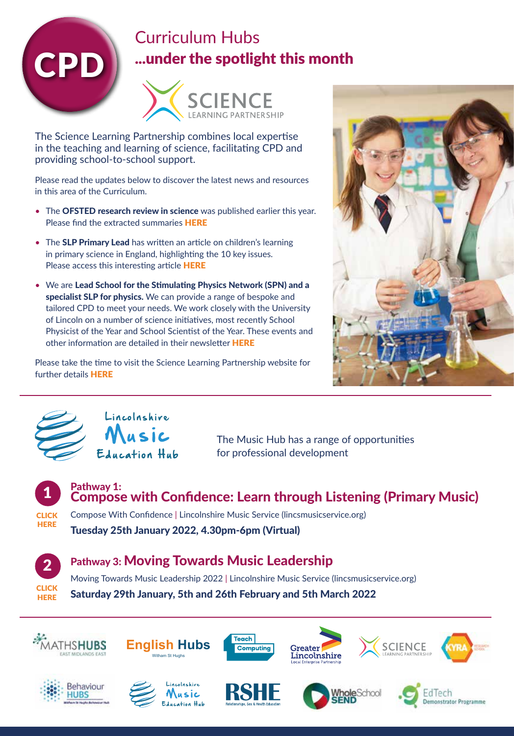

# Curriculum Hubs ...under the spotlight this month



The Science Learning Partnership combines local expertise in the teaching and learning of science, facilitating CPD and providing school-to-school support.

Please read the updates below [to discover the latest](https://drive.google.com/file/d/1EFdJsIpxNpC-M2TPmNUli9NDpE-guQJo/view) news and resources in this area of the Curriculum.

- The OFSTED research review in science was published earlier this year. Please find the extracted summaries HERE
- The **SLP Primary Lead** has written an article on children's learning in primary science in England[, highlighting the 10 ke](https://drive.google.com/file/d/1LNTqU2cbVrxkUOKPCHC4oMg5fISLx1fb/view)y issues. Please access this interesting article HERE
- We are Lead School for the Stimulating Physics Network (SPN) and a specialist SLP for physics. We can provide a range of bespoke and tailored CPD to meet your needs. We work closely with the University of Lincoln on a number of science initiativ[es, most recently Sch](https://drive.google.com/file/d/1PVCnp7P5aR_IEukEKcIHPTToYoDIewuV/view)ool Physicist of the Year and School Scientist of the Year. These events and other information are detailed in their newsletter HERE

Please t[ake the time to v](https://www.lincolnshirescitt.co.uk/slp)isit the Science Learning Partnership website for further details HERE





Lincolnshire Education Hub

The Music Hub has a range of opportunities for professional development



**CLICK HERE** 

Pathway 1: [Compose w](https://www.lincsmusicservice.org/whats-on/compose-with-confidence)ith Confidence: Learn through Listening (Primary Music)

Compose With Confidence | Lincolnshire Music Service (lincsmusicservice.org) Tuesday 25th January 2022, 4.30pm-6pm (Virtual)



# [Pathway 3: M](https://www.lincsmusicservice.org/whats-on/moving-towards-music-leadership-2022)oving Towards Music Leadership

Moving Towards Music Leadership 2022 | Lincolnshire Music Service (lincsmusicservice.org) Saturday 29th January, 5th and 26th February and 5th March 2022

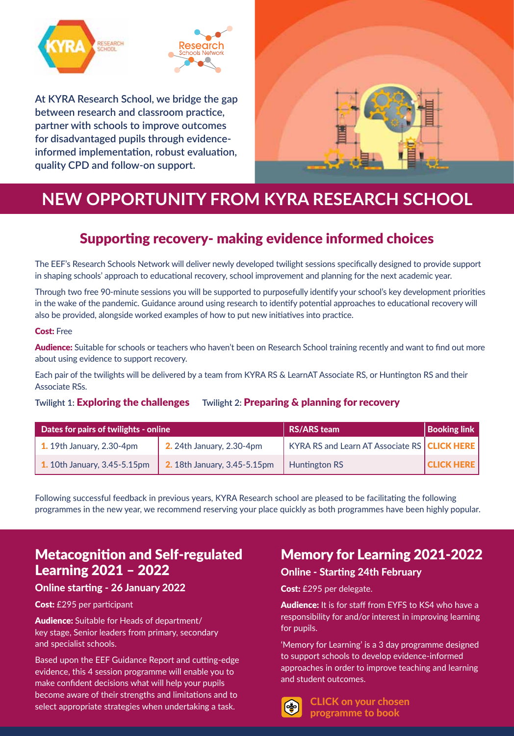

**At KYRA Research School, we bridge the gap between research and classroom practice, partner with schools to improve outcomes for disadvantaged pupils through evidenceinformed implementation, robust evaluation, quality CPD and follow-on support.**



# **NEW OPPORTUNITY FROM KYRA RESEARCH SCHOOL**

# Supporting recovery- making evidence informed choices

The EEF's Research Schools Network will deliver newly developed twilight sessions specifically designed to provide support in shaping schools' approach to educational recovery, school improvement and planning for the next academic year.

Through two free 90-minute sessions you will be supported to purposefully identify your school's key development priorities in the wake of the pandemic. Guidance around using research to identify potential approaches to educational recovery will also be provided, alongside worked examples of how to put new initiatives into practice.

#### Cost: Free

Audience: Suitable for schools or teachers who haven't been on Research School training recently and want to find out more about using evidence to support recovery.

Each pair of the twilights will be delivered by a team from KYRA RS & LearnAT Associate RS, or Huntington RS and their Associate RSs.

#### **Twilight 1:** Exploring the challenges **Twilight 2:** Preparing & planning for recovery

| Dates for pairs of twilights - online |                                     | <b>RS/ARS team</b>                             | <b>Booking link</b> |
|---------------------------------------|-------------------------------------|------------------------------------------------|---------------------|
| $\vert$ 1. 19th January, 2.30-4pm     | <b>2.</b> 24th January, 2.30-4pm    | KYRA RS and Learn AT Associate RS   CLICK HERE |                     |
| <b>1.</b> 10th January, 3.45-5.15pm   | <b>2.</b> 18th January, 3.45-5.15pm | Huntington RS                                  | <b>CLICK HERE</b>   |

Following successful feedback in previous years, KYRA Research school are pleased to be facilitating the following programmes in the new year, we recommend reserving your place quickly as both programmes have been highly popular.

# Metacognition and Self-regulated Learni[ng 2021 – 2022](https://event.bookitbee.com/34869/metacognition-and-self-regulated-learning-ambition)

#### Online starting - 26 January 2022

#### Cost: £295 per participant

Audience: Suitable for Heads of department/ key stage, Senior leaders from primary, secondary and specialist schools.

Based upon the EEF Guidance Report and cutting-edge evidence, this 4 session programme will enable you to make confident decisions what will help your pupils become aware of their strengths and limitations and to select appropriate strategies when undertaking a task.

# Memory for Learning 2021-2022

#### Online - Starting 24th February

Cost: £295 per delegate.

Audience: It is for staff from EYFS to KS4 who have a responsibility for and/or interest in improving learning for pupils.

'Memory for L[earning' is a 3 day programme](https://event.bookitbee.com/33191/memory-for-learning-2) designed to support schools to develop evidence-informed approaches in order to improve teaching and learning and student outcomes.